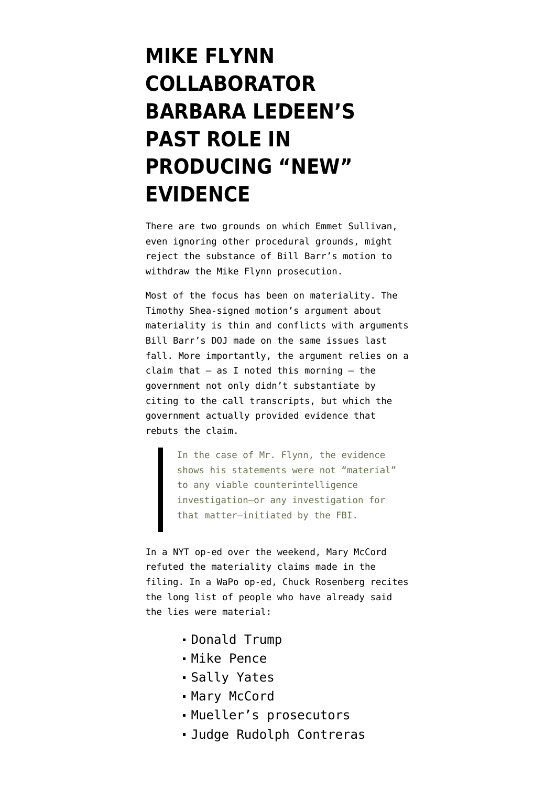# **[MIKE FLYNN](https://www.emptywheel.net/2020/05/11/mike-flynn-collaborator-barbara-ledeens-past-role-in-producing-new-evidence/) [COLLABORATOR](https://www.emptywheel.net/2020/05/11/mike-flynn-collaborator-barbara-ledeens-past-role-in-producing-new-evidence/) [BARBARA LEDEEN'S](https://www.emptywheel.net/2020/05/11/mike-flynn-collaborator-barbara-ledeens-past-role-in-producing-new-evidence/) [PAST ROLE IN](https://www.emptywheel.net/2020/05/11/mike-flynn-collaborator-barbara-ledeens-past-role-in-producing-new-evidence/) [PRODUCING "NEW"](https://www.emptywheel.net/2020/05/11/mike-flynn-collaborator-barbara-ledeens-past-role-in-producing-new-evidence/) [EVIDENCE](https://www.emptywheel.net/2020/05/11/mike-flynn-collaborator-barbara-ledeens-past-role-in-producing-new-evidence/)**

There are two grounds on which Emmet Sullivan, even ignoring [other procedural grounds,](https://www.emptywheel.net/2020/05/10/barr-not-only-overrode-emmet-sullivans-brady-ruling-he-explicitly-pre-empted-sullivans-convington-review/) might reject the substance of [Bill Barr's motion](https://www.courtlistener.com/recap/gov.uscourts.dcd.191592/gov.uscourts.dcd.191592.198.0_6.pdf) to withdraw the Mike Flynn prosecution.

Most of the focus has been on materiality. The Timothy Shea-signed motion's argument about materiality is thin and [conflicts with arguments](https://www.emptywheel.net/2020/05/11/bill-barr-doj-filings-under-the-same-bar-number-have-argued-for-and-against-the-flynn-prosecution/) Bill Barr's DOJ made on the same issues last fall. More importantly, the argument relies on a claim that  $-$  [as I noted this morning](https://www.emptywheel.net/2020/05/11/bill-barr-did-not-provide-the-most-important-exhibit-to-his-dismissal-motion-the-call-transcripts/)  $-$  the government not only didn't substantiate by citing to the call transcripts, but which the government actually provided evidence that rebuts the claim.

> In the case of Mr. Flynn, the evidence shows his statements were not "material" to any viable counterintelligence investigation—or any investigation for that matter—initiated by the FBI.

In a [NYT op-ed over the weekend,](https://www.nytimes.com/2020/05/10/opinion/bill-barr-michael-flynn.html) Mary McCord refuted the materiality claims made in the filing. In a [WaPo op-ed,](https://www.washingtonpost.com/opinions/2020/05/10/long-list-people-who-thought-flynns-lies-were-material/) Chuck Rosenberg recites the long list of people who have already said the lies were material:

- Donald Trump
- Mike Pence
- Sally Yates
- Mary McCord
- Mueller's prosecutors
- Judge Rudolph Contreras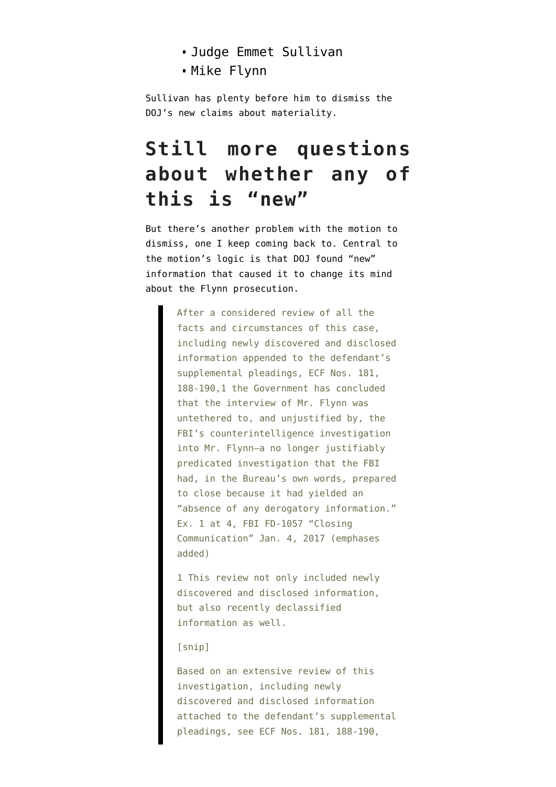- Judge Emmet Sullivan
- Mike Flynn

Sullivan has plenty before him to dismiss the DOJ's new claims about materiality.

# **Still more questions about whether any of this is "new"**

But there's another problem with the motion to dismiss, one I keep coming back to. Central to the motion's logic is that DOJ found "new" information that caused it to change its mind about the Flynn prosecution.

> After a considered review of all the facts and circumstances of this case, including newly discovered and disclosed information appended to the defendant's supplemental pleadings, ECF Nos. 181, 188-190,1 the Government has concluded that the interview of Mr. Flynn was untethered to, and unjustified by, the FBI's counterintelligence investigation into Mr. Flynn—a no longer justifiably predicated investigation that the FBI had, in the Bureau's own words, prepared to close because it had yielded an "absence of any derogatory information." Ex. 1 at 4, FBI FD-1057 "Closing Communication" Jan. 4, 2017 (emphases added)

1 This review not only included newly discovered and disclosed information, but also recently declassified information as well.

### [snip]

Based on an extensive review of this investigation, including newly discovered and disclosed information attached to the defendant's supplemental pleadings, see ECF Nos. 181, 188-190,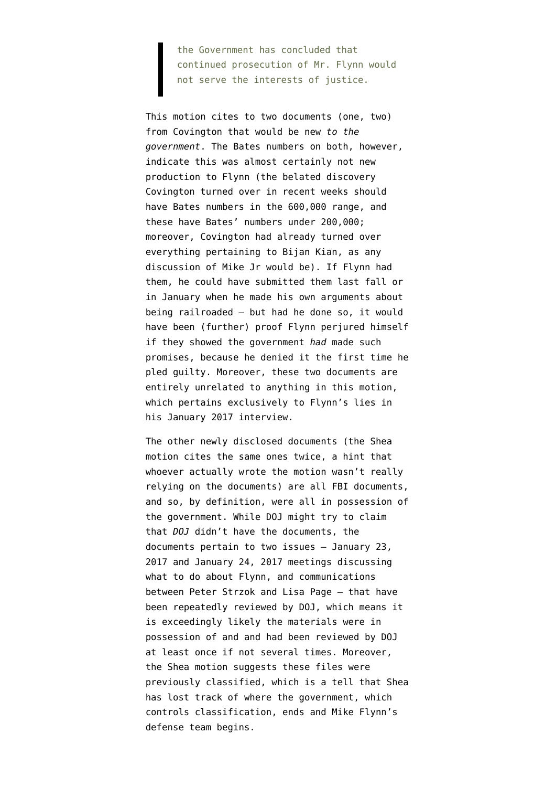the Government has concluded that continued prosecution of Mr. Flynn would not serve the interests of justice.

This motion cites to two documents [\(one,](https://www.courtlistener.com/recap/gov.uscourts.dcd.191592/gov.uscourts.dcd.191592.181.1.pdf) [two](https://www.courtlistener.com/recap/gov.uscourts.dcd.191592/gov.uscourts.dcd.191592.181.2.pdf)) from Covington that would be new *to the government*. The Bates numbers on both, however, indicate this was almost certainly not new production to Flynn (the belated discovery Covington turned over in recent weeks should have Bates numbers in the 600,000 range, and these have Bates' numbers under 200,000; moreover, Covington had already turned over everything pertaining to Bijan Kian, as any discussion of Mike Jr would be). If Flynn had them, he could have submitted them last fall or in January when he made his own arguments about being railroaded — but had he done so, it would have been (further) proof Flynn perjured himself if they showed the government *had* made such promises, because he [denied it](https://www.courtlistener.com/recap/gov.uscourts.dcd.191592/gov.uscourts.dcd.191592.16.0_1.pdf) the first time he pled guilty. Moreover, these two documents are entirely unrelated to anything in this motion, which pertains exclusively to Flynn's lies in his January 2017 interview.

The other newly disclosed documents (the Shea motion cites the same [ones](https://www.courtlistener.com/recap/gov.uscourts.dcd.191592/gov.uscourts.dcd.191592.188.0_8.pdf) [twice,](https://www.courtlistener.com/recap/gov.uscourts.dcd.191592/gov.uscourts.dcd.191592.190.0_8.pdf) a hint that whoever actually wrote the motion wasn't really relying on the documents) are all FBI documents, and so, by definition, were all in possession of the government. While DOJ might try to claim that *DOJ* didn't have the documents, the documents pertain to two issues — January 23, 2017 and January 24, 2017 meetings discussing what to do about Flynn, and communications between Peter Strzok and Lisa Page — that have been [repeatedly reviewed](https://www.emptywheel.net/2020/05/08/judge-sullivan-has-already-rejected-most-of-timothy-sheas-doj-flynn-pardon/) by DOJ, which means it is exceedingly likely the materials were in possession of and and had been reviewed by DOJ at least once if not several times. Moreover, the Shea motion suggests these files were previously classified, which is a tell that Shea has lost track of where the government, which controls classification, ends and Mike Flynn's defense team begins.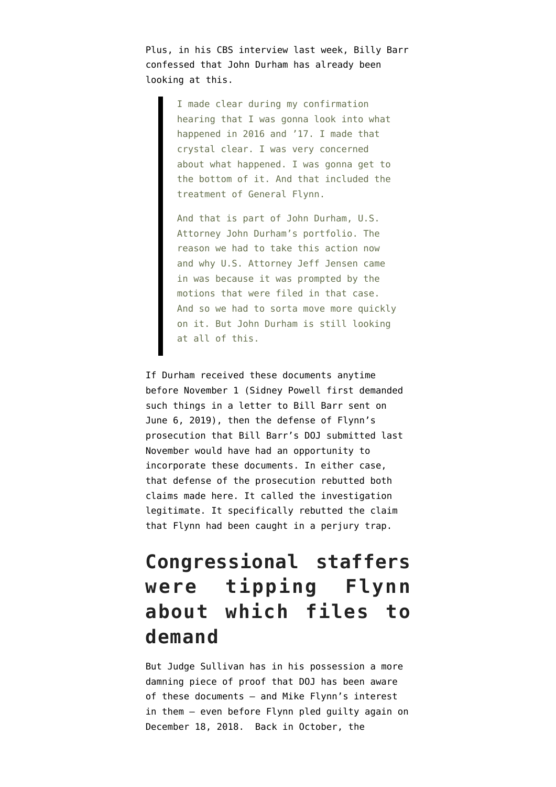Plus, in [his CBS interview last week](https://www.cbsnews.com/news/attorney-general-william-barr-on-michael-flynn-obamacare-and-coronavirus-restrictions-transcript/), Billy Barr confessed that John Durham has already been looking at this.

> I made clear during my confirmation hearing that I was gonna look into what happened in 2016 and '17. I made that crystal clear. I was very concerned about what happened. I was gonna get to the bottom of it. And that included the treatment of General Flynn.

And that is part of John Durham, U.S. Attorney John Durham's portfolio. The reason we had to take this action now and why U.S. Attorney Jeff Jensen came in was because it was prompted by the motions that were filed in that case. And so we had to sorta move more quickly on it. But John Durham is still looking at all of this.

If Durham received these documents anytime before November 1 (Sidney Powell first demanded such things in [a letter to Bill Barr sent on](https://www.courtlistener.com/recap/gov.uscourts.dcd.191592/gov.uscourts.dcd.191592.122.2.pdf) [June 6, 2019](https://www.courtlistener.com/recap/gov.uscourts.dcd.191592/gov.uscourts.dcd.191592.122.2.pdf)), then the [defense of Flynn's](https://www.emptywheel.net/2020/05/11/bill-barr-doj-filings-under-the-same-bar-number-have-argued-for-and-against-the-flynn-prosecution/) [prosecution](https://www.emptywheel.net/2020/05/11/bill-barr-doj-filings-under-the-same-bar-number-have-argued-for-and-against-the-flynn-prosecution/) that Bill Barr's DOJ submitted last November would have had an opportunity to incorporate these documents. In either case, that defense of the prosecution rebutted both claims made here. It called the investigation legitimate. It specifically rebutted the claim that Flynn had been caught in a perjury trap.

# **Congressional staffers were tipping Flynn about which files to demand**

But Judge Sullivan has in his possession a more damning piece of proof that DOJ has been aware of these documents — and Mike Flynn's interest in them — even before Flynn pled guilty again on December 18, 2018. Back in October, the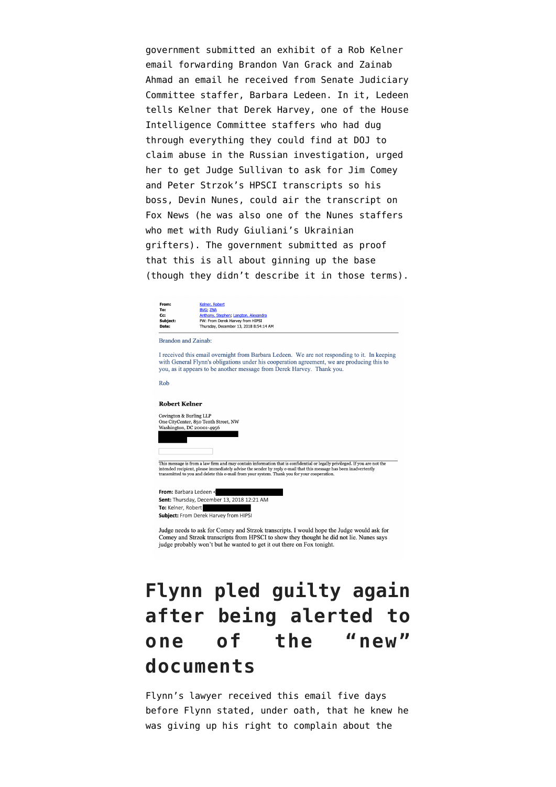government submitted an [exhibit](https://www.courtlistener.com/recap/gov.uscourts.dcd.191592/gov.uscourts.dcd.191592.122.3.pdf) of a Rob Kelner email forwarding Brandon Van Grack and Zainab Ahmad an email he received from Senate Judiciary Committee staffer, Barbara Ledeen. In it, Ledeen tells Kelner that Derek Harvey, one of the House Intelligence Committee staffers who had dug through everything they could find at DOJ to claim abuse in the Russian investigation, urged her to get Judge Sullivan to ask for Jim Comey and Peter Strzok's HPSCI transcripts so his boss, Devin Nunes, could air the transcript on Fox News (he was also one of the Nunes staffers who met with Rudy Giuliani's Ukrainian grifters). The government [submitted as proof](https://www.courtlistener.com/recap/gov.uscourts.dcd.191592/gov.uscourts.dcd.191592.122.0_3.pdf) that this is all about ginning up the base (though they didn't describe it in those terms).



Subject: From Derek Harvey from HIPS

Judge needs to ask for Comey and Strzok transcripts. I would hope the Judge would ask for Comey and Strzok transcripts from HPSCI to show they thought he did not lie. Nunes says judge probably won't but he wanted to get it out there on Fox tonight.

# **Flynn pled guilty again after being alerted to one of the "new" documents**

Flynn's lawyer received this email five days before [Flynn stated, under oath, that he knew](https://www.justsecurity.org/wp-content/uploads/2018/12/121818am-USA-v-Michael-Flynn-Sentencing.pdf) he was giving up his right to complain about the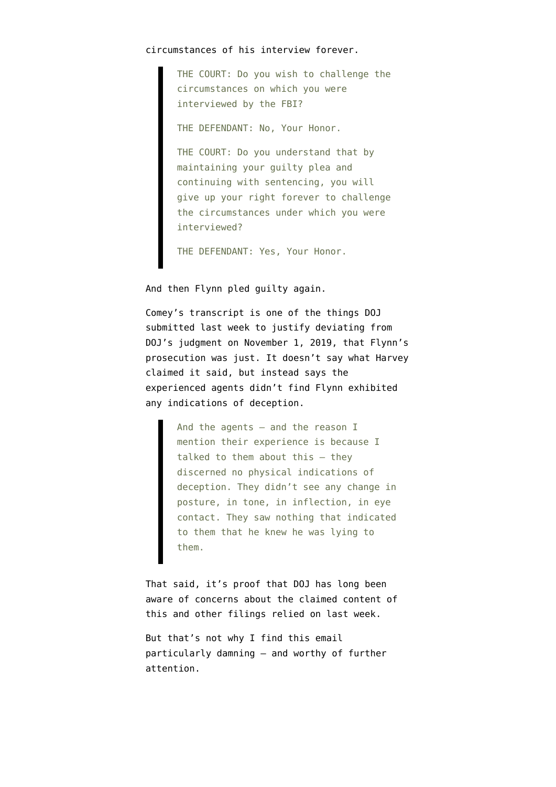### circumstances of his interview forever.

THE COURT: Do you wish to challenge the circumstances on which you were interviewed by the FBI?

THE DEFENDANT: No, Your Honor.

THE COURT: Do you understand that by maintaining your guilty plea and continuing with sentencing, you will give up your right forever to challenge the circumstances under which you were interviewed?

THE DEFENDANT: Yes, Your Honor.

And then Flynn pled guilty again.

Comey's [transcript](https://www.courtlistener.com/recap/gov.uscourts.dcd.191592/gov.uscourts.dcd.191592.198.6.pdf) is one of the things DOJ submitted last week to justify deviating from DOJ's judgment on November 1, 2019, that Flynn's prosecution was just. It doesn't say what Harvey claimed it said, but instead says the experienced agents didn't find Flynn exhibited any indications of deception.

> And the agents — and the reason I mention their experience is because I talked to them about this — they discerned no physical indications of deception. They didn't see any change in posture, in tone, in inflection, in eye contact. They saw nothing that indicated to them that he knew he was lying to them.

That said, it's proof that DOJ has long been aware of concerns about the claimed content of this and other filings relied on last week.

But that's not why I find this email particularly damning — and worthy of further attention.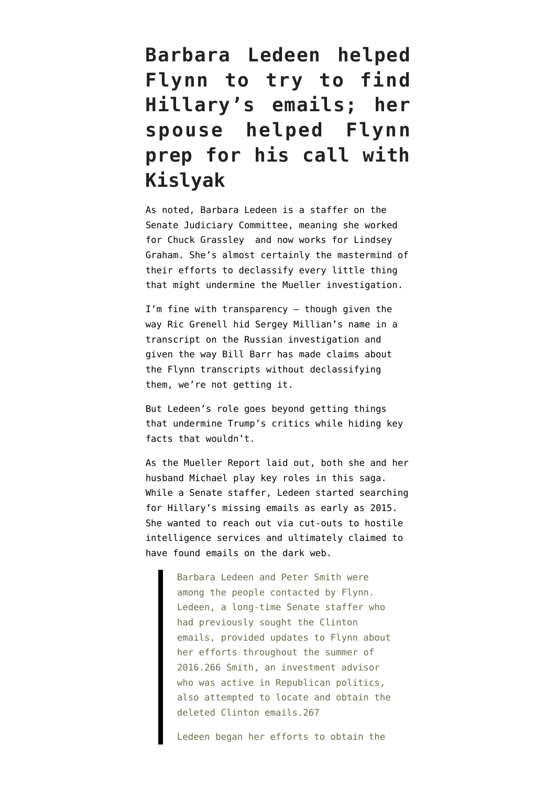# **Barbara Ledeen helped Flynn to try to find Hillary's emails; her spouse helped Flynn prep for his call with Kislyak**

As noted, Barbara Ledeen is a staffer on the Senate Judiciary Committee, meaning she worked for Chuck Grassley and now works for Lindsey Graham. She's almost certainly the mastermind of their efforts to declassify every little thing that might undermine the Mueller investigation.

I'm fine with transparency — though given the way [Ric Grenell hid Sergey Millian's name](https://www.emptywheel.net/2020/05/07/ric-grenell-declassified-george-papadopoulos-brags-about-fucking-older-women-but-not-about-sergey-millian/) in a transcript on the Russian investigation and given the way Bill Barr has made claims about the Flynn transcripts [without declassifying](https://www.emptywheel.net/2020/05/11/bill-barr-did-not-provide-the-most-important-exhibit-to-his-dismissal-motion-the-call-transcripts/) [them](https://www.emptywheel.net/2020/05/11/bill-barr-did-not-provide-the-most-important-exhibit-to-his-dismissal-motion-the-call-transcripts/), we're not getting it.

But Ledeen's role goes beyond getting things that undermine Trump's critics while hiding key facts that wouldn't.

As the [Mueller Report](https://assets.documentcloud.org/documents/6002293/190322-Redacted-Mueller-Report.pdf) laid out, both she and her husband Michael play key roles in this saga. While a Senate staffer, Ledeen started searching for Hillary's missing emails as early as 2015. She wanted to reach out via cut-outs to hostile intelligence services and ultimately claimed to have found emails on the dark web.

> Barbara Ledeen and Peter Smith were among the people contacted by Flynn. Ledeen, a long-time Senate staffer who had previously sought the Clinton emails, provided updates to Flynn about her efforts throughout the summer of 2016.266 Smith, an investment advisor who was active in Republican politics, also attempted to locate and obtain the deleted Clinton emails.267

Ledeen began her efforts to obtain the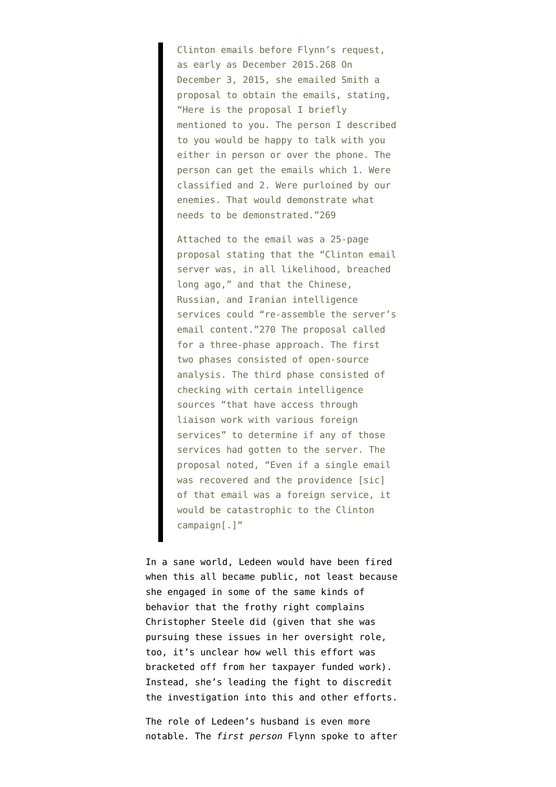Clinton emails before Flynn's request, as early as December 2015.268 On December 3, 2015, she emailed Smith a proposal to obtain the emails, stating, "Here is the proposal I briefly mentioned to you. The person I described to you would be happy to talk with you either in person or over the phone. The person can get the emails which 1. Were classified and 2. Were purloined by our enemies. That would demonstrate what needs to be demonstrated."269

Attached to the email was a 25-page proposal stating that the "Clinton email server was, in all likelihood, breached long ago," and that the Chinese, Russian, and Iranian intelligence services could "re-assemble the server's email content."270 The proposal called for a three-phase approach. The first two phases consisted of open-source analysis. The third phase consisted of checking with certain intelligence sources "that have access through liaison work with various foreign services" to determine if any of those services had gotten to the server. The proposal noted, "Even if a single email was recovered and the providence [sic] of that email was a foreign service, it would be catastrophic to the Clinton campaign[.]"

In a sane world, Ledeen would have been fired when this all became public, not least because she engaged in some of the same kinds of behavior that the frothy right complains Christopher Steele did (given that she was pursuing these issues in her oversight role, too, it's unclear how well this effort was bracketed off from her taxpayer funded work). Instead, she's leading the fight to discredit the investigation into this and other efforts.

The role of Ledeen's husband is even more notable. The *first person* Flynn spoke to after